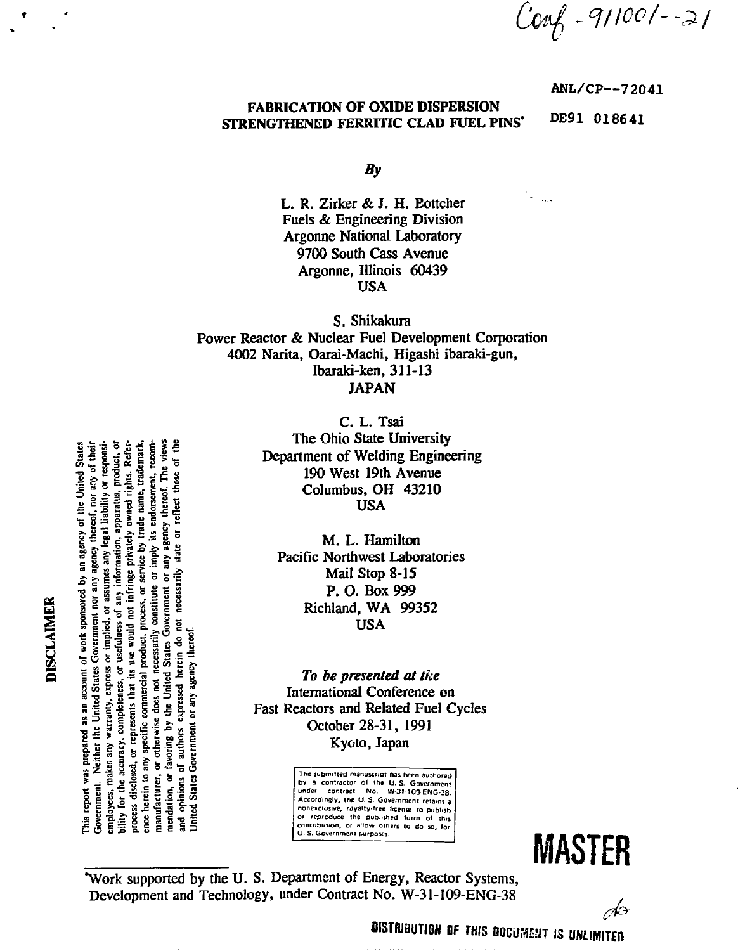$Covf - 911001 - -21$ 

**ANL/CP—72041**

# FABRICATION OF OXIDE DISPERSION STRENGTHENED FERRITIC CLAD FUEL PINS\*

DE91 018641

*By*

L. R. Zirker & J. H. Eottcher Fuels & Engineering Division Argonne National Laboratory 9700 South Cass Avenue Argonne, Illinois 60439 USA

S. Shikakura Power Reactor & Nuclear Fuel Development Corporation 4002 Narita, Oarai-Machi, Higashi ibaraki-gun, Ibaraki-ken, 311-13 JAPAN

> C. L. Tsai The Ohio State University Department of Welding Engineering 190 West 19th Avenue Columbus, OH 43210 USA

M. L. Hamilton Pacific Northwest Laboratories Mail Stop 8-15 P.O. Box999 Richland, WA 99352 USA

To be presented at the International Conference on Fast Reactors and Related Fuel Cycles

> The submitted manuscript has been authored bv a contracior ol the U. S- Goveinmem under conltact No. W-3I-I09-ENG-38. Accordingly, the U. S. Governmeni reiaini a nonexclusive, royalty-free license to publish or reproduce the published form of this contribution, or allow others to do so, for U. S. Government purposes.

**MASTER**

-13

\*Work supported by the U. S. Department of Energy, Reactor Systems, Development and Technology, under Contract No. W-31-109-ENG-38

 $\frac{1}{2}$   $\frac{1}{2}$   $\frac{1}{2}$   $\frac{1}{2}$   $\frac{1}{2}$   $\frac{1}{2}$   $\frac{1}{2}$   $\frac{1}{2}$   $\frac{1}{2}$   $\frac{1}{2}$   $\frac{1}{2}$   $\frac{1}{2}$   $\frac{1}{2}$   $\frac{1}{2}$   $\frac{1}{2}$   $\frac{1}{2}$   $\frac{1}{2}$   $\frac{1}{2}$   $\frac{1}{2}$   $\frac{1}{2}$   $\frac{1}{2}$   $\frac{1}{2}$  of the Referservice by trade name, trademark, or reflect those **<sup>11</sup>**111**<sup>1</sup>** ful **fulfi**f **l Kyoto, Japan** manufacturer, Ĕ

DISCLAIMER

DISTRIBUTION OF THIS OOCUME»T IS **UNLIMITED**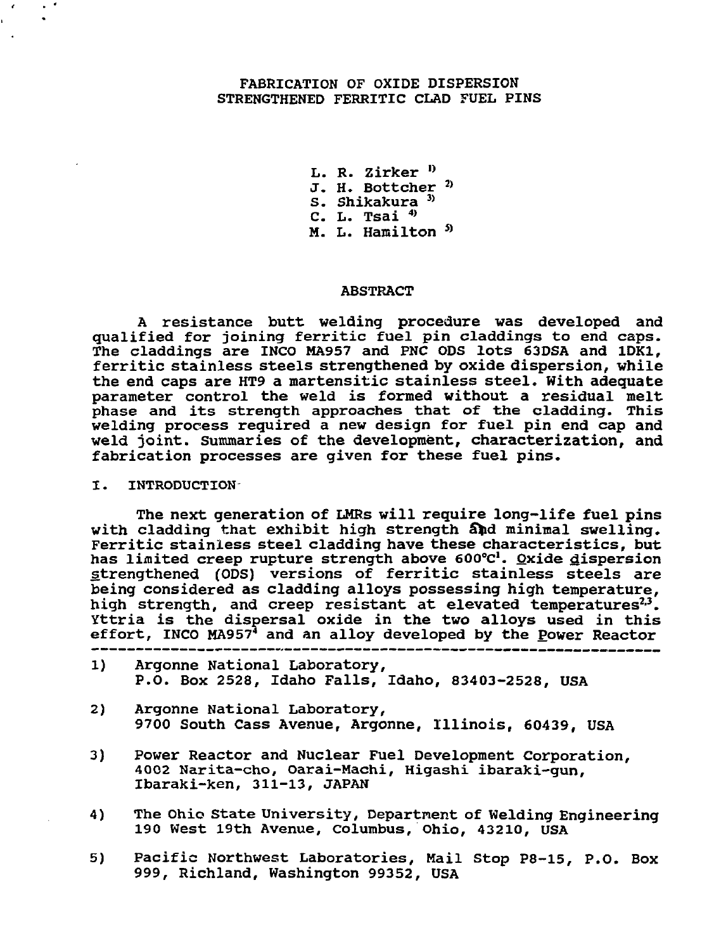## FABRICATION OF OXIDE DISPERSION STRENGTHENED FERRITIC CLAD FUEL PINS

L. R. Zirker<sup>D</sup> J. H. Bottcher<sup>2)</sup> S. Shikakura<sup>3</sup> C. L. Tsai  $^{4)}$ M. L. Hamilton <sup>5)</sup>

#### ABSTRACT

A resistance butt welding procedure was developed and qualified for joining ferritic fuel pin claddings to end caps. The claddings are INCO MA957 and PNC ODS lots  $\bar{6}$ 3DSA and 1DK1, ferritic stainless steels strengthened by oxide dispersion, while the end caps are HT9 a martensitic stainless steel. With adequate parameter control the weld is formed without a residual melt phase and its strength approaches that of the cladding. This welding process required a new design for fuel pin end cap and weld joint. Summaries of the development, characterization, and fabrication processes are given for these fuel pins.

#### I. INTRODUCTION

The next generation of LMRs will require long-life fuel pins with cladding that exhibit high strength and minimal swelling. Ferritic stainless steel cladding have these characteristics, but has limited creep rupture strength above 600°c'. Oxide dispersion strengthened (ODS) versions of ferritic stainless steels are being considered as cladding alloys possessing high temperature, high strength, and creep resistant at elevated temperatures<sup>2,2</sup>. Yttria is the dispersal oxide in the two alloys used in this effort, INCO MA957<sup>4</sup> and an alloy developed by the Power Reactor

- 1) Argonne National Laboratory, P.O. Box 2528, Idaho Falls, Idaho, 83403-2528, USA
- 2) Argonne National Laboratory, 9700 South Cass Avenue, Argonne, Illinois, 60439, USA
- 3) Power Reactor and Nuclear Fuel Development Corporation, 4002 Narita-cho, Oarai-Machi, Higashi ibaraki-gun, Ibaraki-ken, 311-13, JAPAN
- 4) The Ohio State University, Department of Welding Engineering 190 West 19th Avenue, Columbus, Ohio, 43210, USA
- 5) Pacific Northwest Laboratories, Mail Stop P8-15, P.O. Box 999, Richland, Washington 99352, USA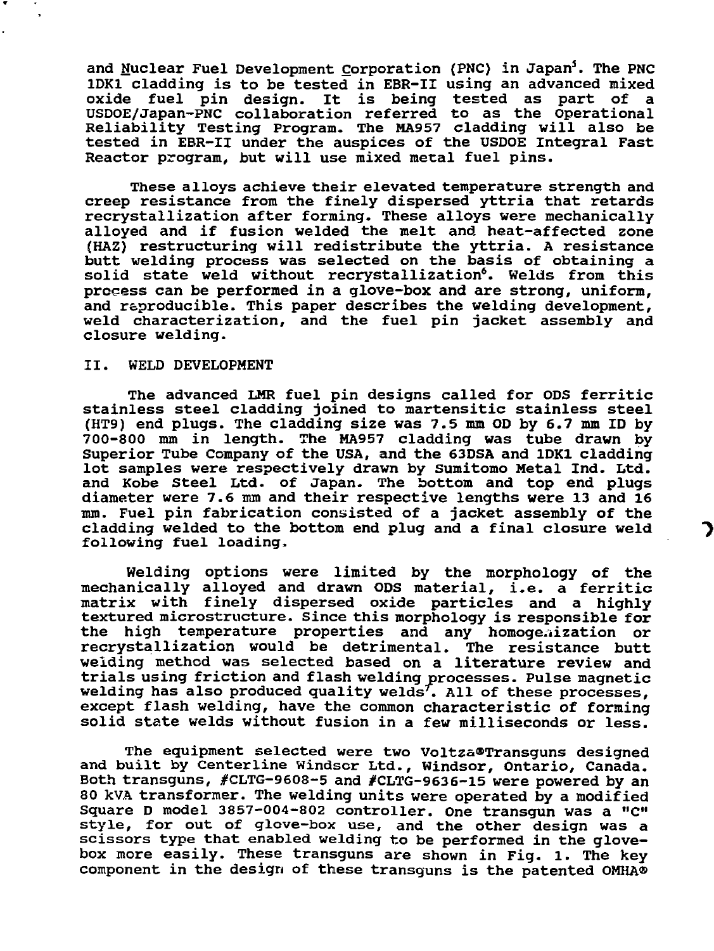and Nuclear Fuel Development Corporation (PNC) in Japan<sup>5</sup>. The PNC 1DK1 cladding is to be tested in EBR-II using an advanced mixed oxide fuel pin design. It is being tested as part of a USDOE/Japan-PNC collaboration referred to as the Operational Reliability Testing Program. The MA957 cladding will also be tested in EBR-II under the auspices of the USDOE Integral Fast Reactor program, but will use mixed metal fuel pins.

These alloys achieve their elevated temperature strength and creep resistance from the finely dispersed yttria that retards recrystallization after forming. These alloys were mechanically alloyed and if fusion welded the melt and heat-affected zone (HAZ) restructuring will redistribute the yttria. A resistance butt welding process was selected on the basis of obtaining a solid state weld without recrystallization<sup>6</sup>. Welds from this process can be performed in a glove-box and are strong, uniform, and reproducible. This paper describes the welding development, weld characterization, and the fuel pin jacket assembly and closure welding.

### II. WELD DEVELOPMENT

The advanced LHR fuel pin designs called for ODS ferritic stainless steel cladding joined to martensitic stainless steel (HT9) end plugs. The cladding size was 7.5 mm OD by 6.7 mm ID by 700-800 mm in length. The MA957 cladding was tube drawn by Superior Tube Company of the USA, and the 63DSA and 1DK1 cladding lot samples were respectively drawn by Sumitomo Metal Ind. Ltd. and Kobe Steel Ltd. of Japan. The bottom and top end plugs diameter were 7.6 mm and their respective lengths were 13 and 16 mm. Fuel pin fabrication consisted of a jacket assembly of the cladding welded to the bottom end plug and a final closure weld following fuel loading.

Welding options were limited by the morphology of the mechanically alloyed and drawn ODS material, i.e. a ferritic matrix with finely dispersed oxide particles and a highly textured microstructure. Since this morphology is responsible for the high temperature properties and any homogenization or recrystallization would be detrimental. The resistance butt welding method was selected based on a literature review and trials using friction and flash welding processes. Pulse magnetic welding has also produced quality welds". All of these processes, except flash welding, have the common characteristic of forming solid state welds without fusion in a few milliseconds or less.

The equipment selected were two Voltza®Transguns designed and built by Centerline Windsor Ltd., Windsor, Ontario, Canada. Both transguns, #CLTG-9608-5 and #CLTG-9636-15 were powered by an 80 kVA transformer. The welding units were operated by a modified Square D model 3857-004-802 controller. One transgun was a "C" style, for out of glove-box use, and the other design was a scissors type that enabled welding to be performed in the glovebox more easily. These transguns are shown in Fig. 1. The key component in the design of these transguns is the patented OMHA®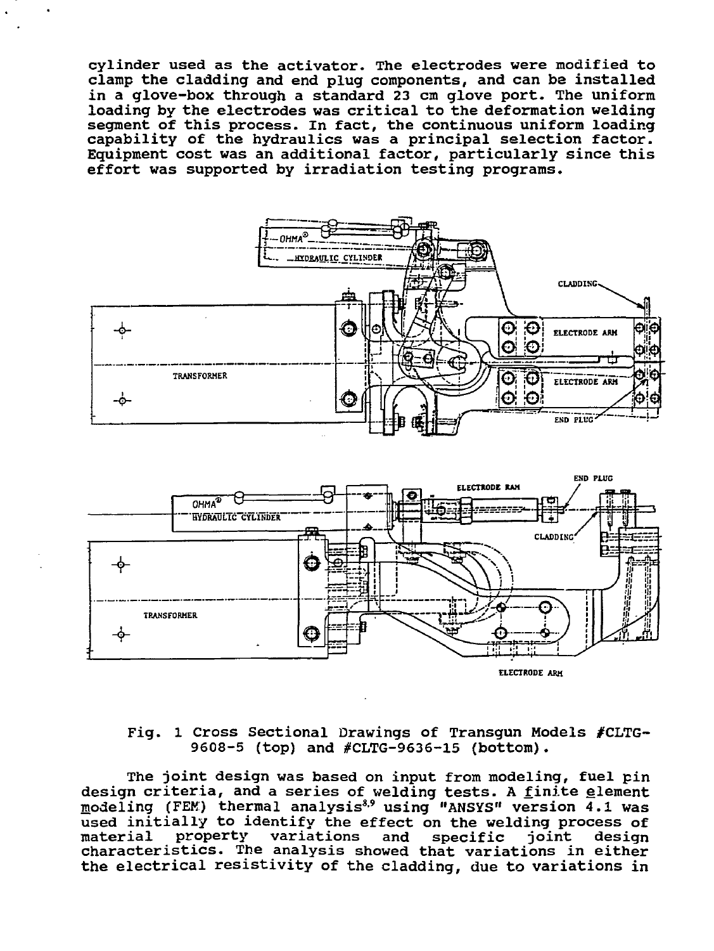cylinder used as the activator. The electrodes were modified to clamp the cladding and end plug components, and can ba installed in a glove-box through a standard 23 cm glove port. The uniform loading by the electrodes was critical to the deformation welding segment of this process. In fact, the continuous uniform loading capability of the hydraulics was a principal selection factor. Equipment cost was an additional factor, particularly since this effort was supported by irradiation testing programs.





## Fig. 1 Cross Sectional Drawings of Transgun Models #CLTG~ 9608-5 (top) and #CLTG-9636-15 (bottom).

The joint design was based on input from modeling, fuel pin design criteria, and a series of welding tests. A <u>f</u>inite <u>e</u>lement modeling (FEM) thermal analysis<sup>8,9</sup> using "ANSYS" version 4.1 was used initially to identify the effect on the welding process of material property variations and specific joint design characteristics. The analysis showed that variations in either the electrical resistivity of the cladding, due to variations in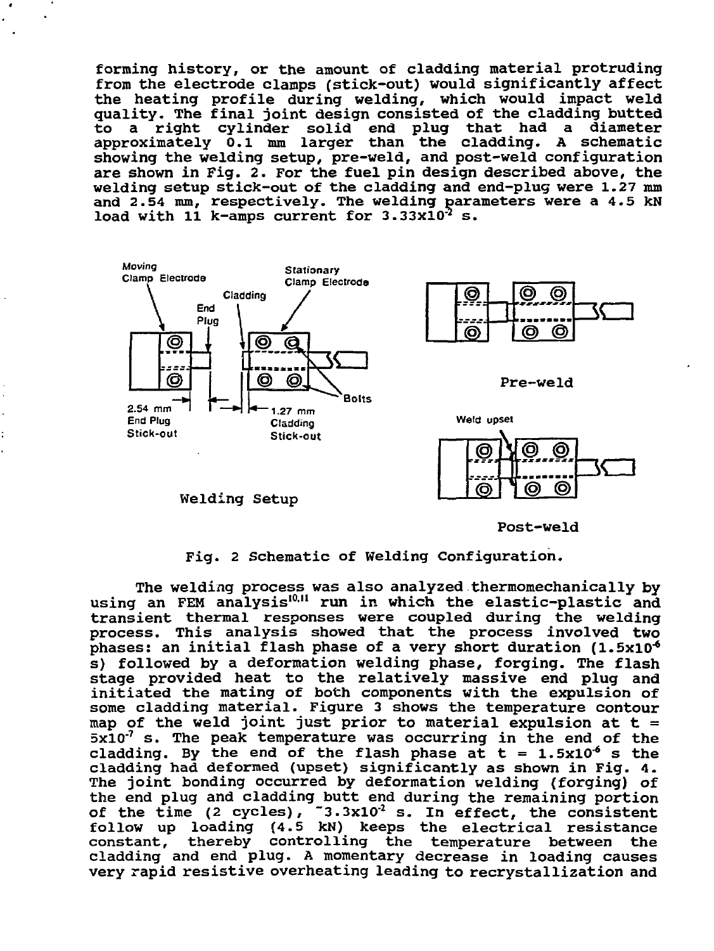forming history, or the amount of cladding material protruding from the electrode clamps (stick-out) would significantly affect the heating profile during welding, which would impact weld quality. The final joint design consisted of the cladding butted<br>to a right cylinder solid end plug that had a diameter to a right cylinder solid end plug that had a approximately 0.1 mm larger than the cladding. A schematic showing the welding setup, pre-weld, and post-weld configuration are shown in Fig. 2. For the fuel pin design described above, the welding setup stick-out of the cladding and end-plug were 1.27 mm and 2.54 mm, respectively. The welding parameters were a 4.5 kN load with 11 k-amps current for  $3.33x10^{2}$  s.



Welding Setup

Post-weld

Fig. 2 Schematic of Welding Configuration.

The welding process was also analyzed thermomechanically by using an FEM analysis<sup>10,11</sup> run in which the elastic-plastic and transient thermal responses were coupled during the welding process. This analysis showed that the process involved two phases: an initial flash phase of a very short duration  $(1.5x10<sup>4</sup>)$ s) followed by a deformation welding phase, forging. The flash stage provided heat to the relatively massive end plug and initiated the mating of both components with the expulsion of some cladding material. Figure 3 shows the temperature contour map of the weld joint just prior to material expulsion at  $t =$  $5x10<sup>-7</sup>$  s. The peak temperature was occurring in the end of the cladding. By the end of the flash phase at  $t = 1.5x10^4$  s the cladding had deformed (upset) significantly as shown in Fig. 4. The joint bonding occurred by deformation welding (forging) of the end plug and cladding butt end during the remaining portion of the time (2 cycles),  $3.3x10^2$  s. In effect, the consistent follow up loading {4.5 kN) keeps the electrical resistance constant, thereby controlling the temperature between the cladding and end plug. A momentary decrease in loading causes very rapid resistive overheating leading to recrystallization and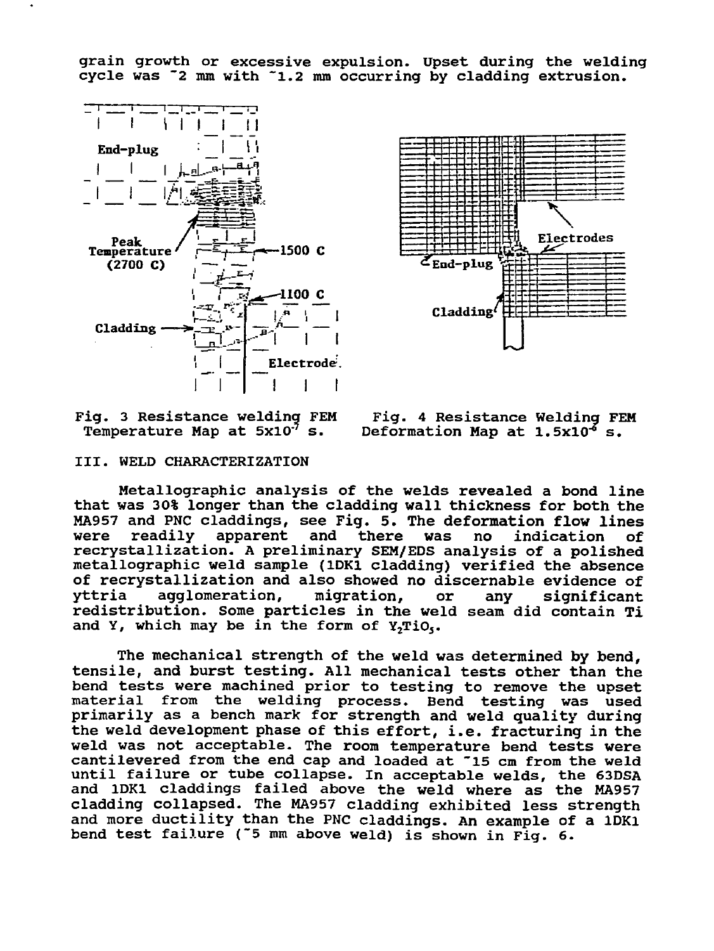grain growth or excessive expulsion. Upset during the welding cycle was "2 mm with "1.2 mm occurring by cladding extrusion.





Temperature Map at  $5x10<sup>-7</sup>$  s.

Fig. 3 Resistance welding FEM Fig. 4 Resistance Welding FEM Temperature Map at 5x10<sup>3</sup> s.

### III. WELD CHARACTERIZATION

Metallographic analysis of the welds revealed a bond line that was 30% longer than the cladding wall thickness for both the MA957 and PNC claddings, see Fig. 5. The deformation flow lines was no indication of recrystallization. A preliminary SEM/EDS analysis of a polished metallographic weld sample (1DK1 cladding) verified the absence of recrystallization and also showed no discernable evidence of yttria agglomeration, migration, or any significant redistribution. Some particles in the weld seam did contain Ti and Y, which may be in the form of  $Y_2TiO_5$ .

The mechanical strength of the weld was determined by bend, tensile, and burst testing. All mechanical tests other than the bend tests were machined prior to testing to remove the upset material from the welding process. Bend testing was used primarily as a bench mark for strength and weld quality during the weld development phase of this effort, i.e. fracturing in the weld was not acceptable. The room temperature bend tests were cantilevered from the end cap and loaded at "15 cm from the weld until failure or tube collapse. In acceptable welds, the 63DSA and 1DK1 claddings failed above the weld where as the MA957 cladding collapsed. The MA957 cladding exhibited less strength and more ductility than the PNC claddings. An example of a 1DK1 bend test failure ("5 mm above weld) is shown in Fig. 6.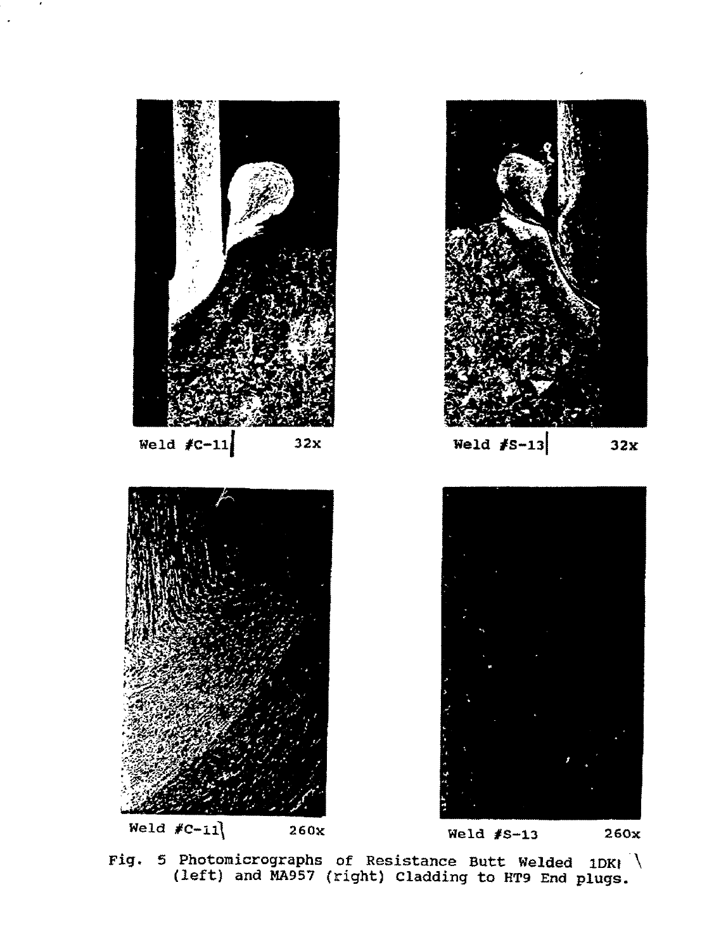

Fig 5 Photomicrographs of Resistance Butt Welded 1DKJ \ (left) and MA957 (right) Cladding to HT9 End plugs.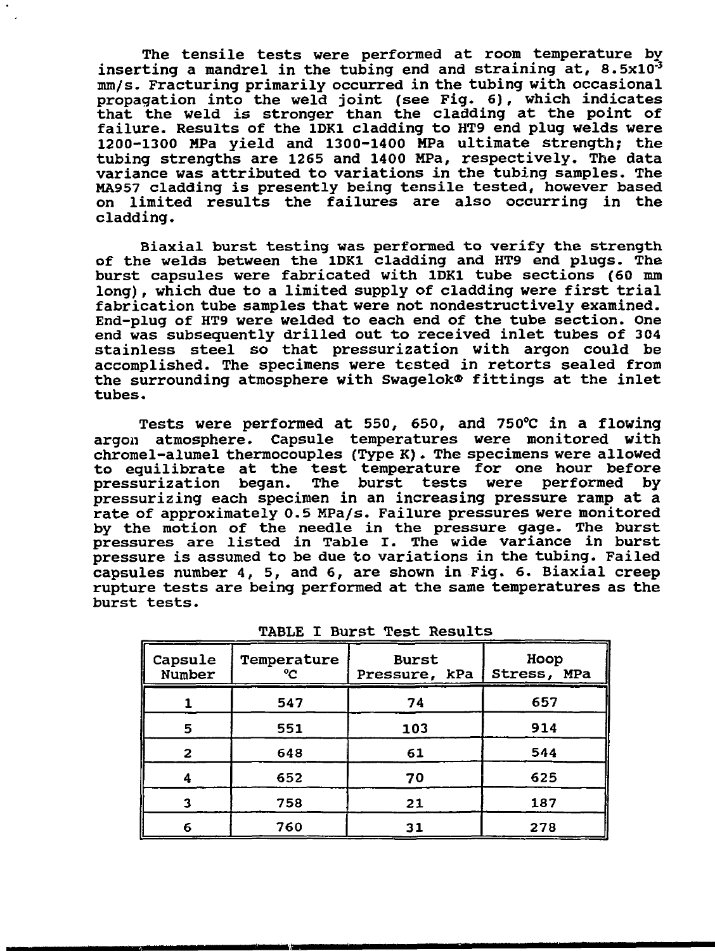**The tensile tests were performed at room temperature by inserting a mandrel in the tubing end and straining at, 8.5xlO"<sup>3</sup> mm/s. Fracturing primarily occurred in the tubing with occasional propagation into the weld joint (see Fig. 6), which indicates that the weld is stronger than the cladding at the point of failure. Results of the 1DK1 cladding to HT9 end plug welds were 1200-1300 MPa yield and 1300-1400 MPa ultimate strength; the tubing strengths are 1265 and 1400 MPa, respectively. The data variance was attributed to variations in the tubing samples. The MA957 cladding is presently being tensile tested, however based on limited results the failures are also occurring in the cladding.**

**Biaxial burst testing was performed to verify the strength of the welds between the 1DK1 cladding and HT9 end plugs. The burst capsules were fabricated with 1DK1 tube sections (60 mm long), which due to a limited supply of cladding were first trial fabrication tube samples that were not nondestructively examined. End-plug of HT9 were welded to each end of the tube section. One end was subsequently drilled out to received inlet tubes of 304 stainless steel so that pressurization with argon could be accomplished. The specimens were tested in retorts sealed from the surrounding atmosphere with Swagelok® fittings at the inlet tubes.**

**Tests were performed at 550, 650, and 750°C in a flowing argon atmosphere. Capsule temperatures were monitored with chromel-alumel thermocouples (Type K) . The specimens were allowed to equilibrate at the test temperature for one hour before pressurization began. The burst tests were performed by pressurizing each specimen in an increasing pressure ramp at a rate of approximately 0.5 MPa/s. Failure pressures were monitored by the motion of the needle in the pressure gage. The burst pressures are listed in Table I. The wide variance in burst pressure is assumed to be due to variations in the tubing. Failed capsules number 4, 5, and 6, are shown in Fig. 6. Biaxial creep rupture tests are being performed at the same temperatures as the burst tests.**

| Capsule<br>Number | Temperature<br>ግ | <b>Burst</b><br>Pressure, kPa | Hoop<br>Stress, MPa |
|-------------------|------------------|-------------------------------|---------------------|
|                   | 547              | 74                            | 657                 |
| 5                 | 551              | 103                           | 914                 |
| 2                 | 648              | 61                            | 544                 |
|                   | 652              | 70                            | 625                 |
|                   | 758              | 21                            | 187                 |
| 6                 | 760              | 31                            | 278                 |

**TABLE I Burst Test Results**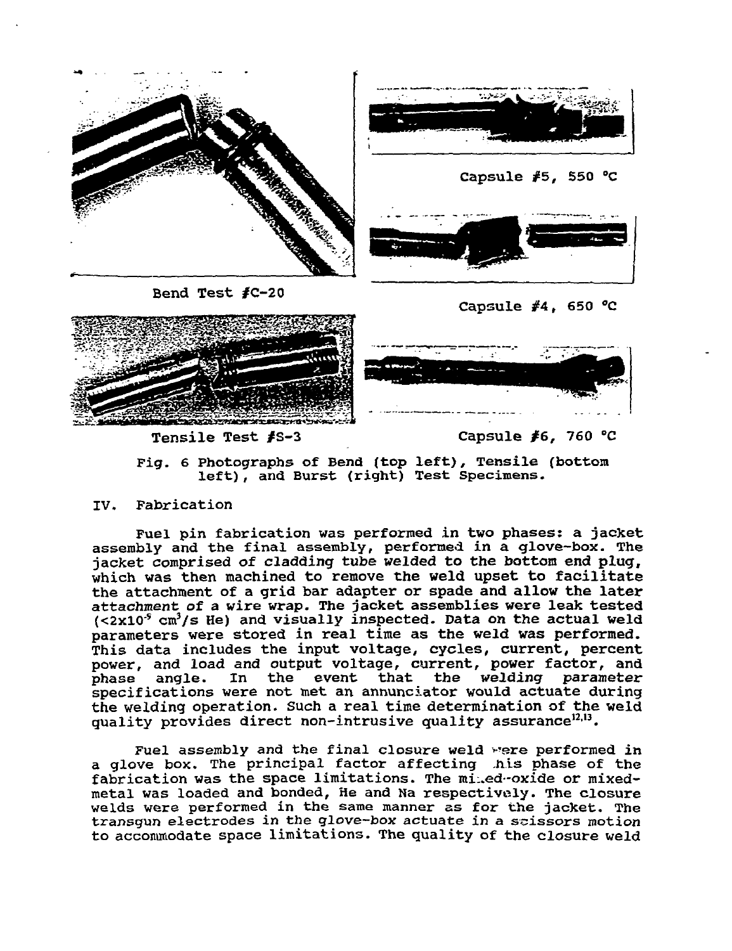

Pig. 6 Photographs of Bend (top left), Tensile (bottom left), and Burst (right) Test Specimens.

## IV. Fabrication

Fuel pin fabrication was performed in two phases: a jacket assembly and the final assembly, performed in a glove-box. The jacket comprised of cladding tube welded to the bottom end plug, which was then machined to remove the weld upset to facilitate the attachment of a grid bar adapter or spade and allow the later attachment of a wire wrap. The jacket assemblies were leak tested  $(<2x10<sup>5</sup> cm<sup>3</sup>/s$  He) and visually inspected. Data on the actual weld parameters were stored in real time as the weld was performed. This data includes the input voltage, cycles, current, percent power, and load and output voltage, current, power factor, and phase angle. In the event that the welding parameter specifications were not met an annunciator would actuate during the welding operation. Such a real time determination of the weld quality provides direct non-intrusive quality assurance<sup>12,13</sup>.

Fuel assembly and the final closure weld were performed in a glove box. The principal factor affecting .his phase of the fabrication was the space limitations. The miled-oxide or mixedmetal was loaded and bonded, He and Ha respectively. The closure welds were performed in the same manner as for the jacket. The transgun electrodes in the glove-box actuate in a scissors motion to accommodate space limitations. The quality of the closure weld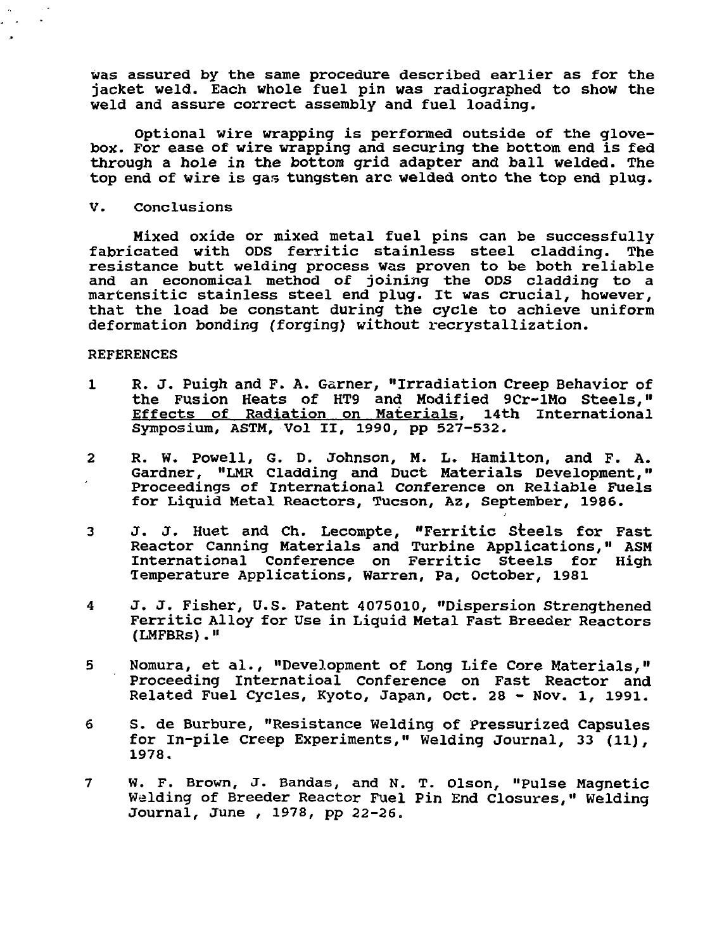was assured by the same procedure described earlier as for the jacket weld. Each whole fuel pin was radiographed to show the weld and assure correct assembly and fuel loading.

Optional wire wrapping is performed outside of the glovebox. For ease of wire wrapping and securing the bottom end is fed through a hole in the bottom grid adapter and ball welded. The top end of wire is gas tungsten arc welded onto the top end plug.

V. Conclusions

Mixed oxide or mixed metal fuel pins can be successfully fabricated with ODS ferritic stainless steel cladding. The resistance butt welding process was proven to be both reliable and an economical method of joining the ODS cladding to a martensitic stainless steel end plug. It was crucial, however, that the load be constant during the cycle to achieve uniform deformation bonding (forging) without recrystallization.

### REFERENCES

- 1 R. J. Puigh and F. A. Garner, "Irradiation Creep Behavior of the Fusion Heats of HT9 and Modified 9Cr-lMo Steels," Effects of Radiation on Materials. 14th International Symposium, ASTM, Vol II, 1990, pp 527-532.
- 2 R. W. Powell, G. 0. Johnson, M. L. Hamilton, and F. A. Gardner, "LMR Cladding and Duct Materials Development," Proceedings of International Conference on Reliable Fuels for Liquid Metal Reactors, Tucson, Az, September, 1986.
- 3 J. J. Huet and Ch. Lecompte, "Ferritic Steels for Fast Reactor Canning Materials and Turbine Applications," ASM International Conference on Ferritic Steels for High Temperature Applications, Warren, Pa, October, 1981
- 4 J. J. Fisher, U.S. Patent 4075010, "Dispersion Strengthened Ferritic Alloy for Use in Liquid Metal Fast Breeder Reactors (LMFBRs)."
- 5 Nomura, et al., "Development of Long Life Core Materials," Proceeding Internatioal Conference on Fast Reactor and Related Fuel Cycles, Kyoto, Japan, Oct. 28 - Nov. 1, 1991.
- 6 S. de Burbure, "Resistance Welding of Pressurized Capsules for In-pile Creep Experiments," Welding Journal, 33 (11), 1978.
- 7 W. F. Brown, J. Bandas, and N. T. Olson, "Pulse Magnetic Welding of Breeder Reactor Fuel Pin End Closures," Welding Journal, June , 1978, pp 22-26.